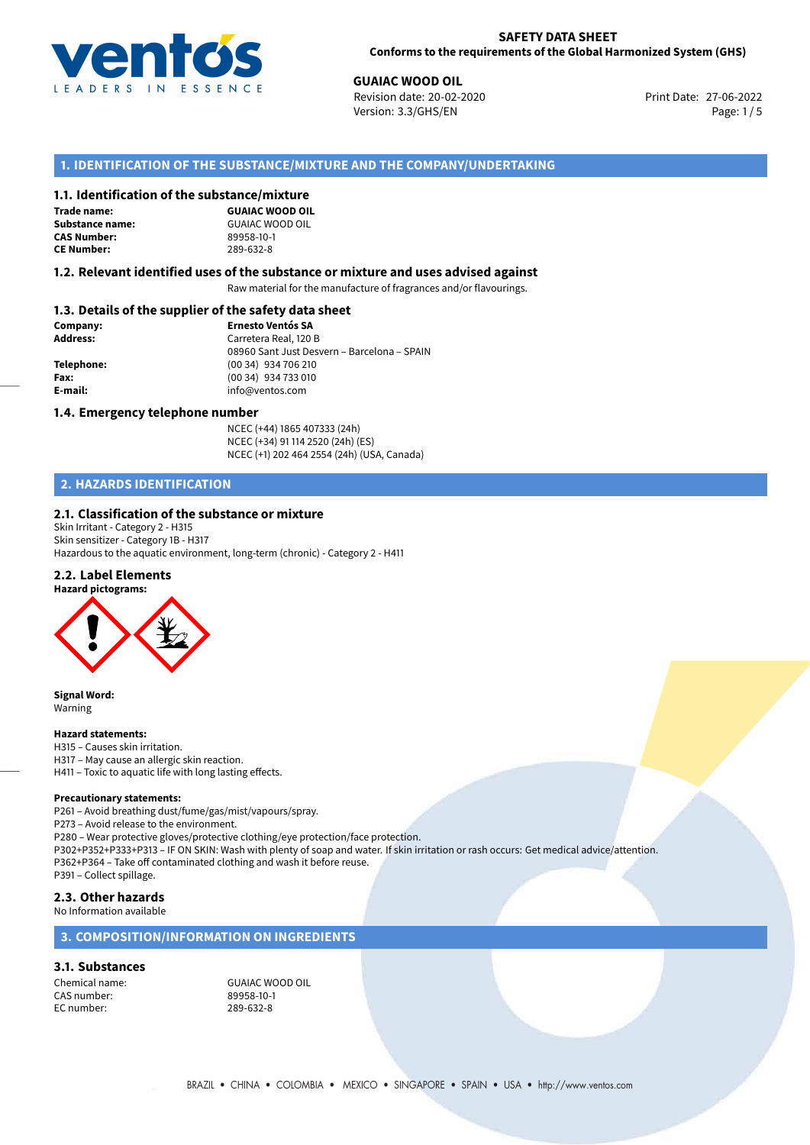

**GUAIAC WOOD OIL**<br> **27-06-2022 Revision date: 20-02-2020** Print Date: 27-06-2022 Version: 3.3/GHS/EN Page: 1/5

# **1. IDENTIFICATION OF THE SUBSTANCE/MIXTURE AND THE COMPANY/UNDERTAKING**

#### **1.1. Identification of the substance/mixture**

**Trade name: CAS Number: CE Number:** 289-632-8

**GUAIAC WOOD OIL Substance name:** GUAIAC WOOD OIL<br> **CAS Number:** 89958-10-1

#### **1.2. Relevant identified uses of the substance or mixture and uses advised against**

Raw material for the manufacture of fragrances and/or flavourings.

# **1.3. Details of the supplier of the safety data sheet**

| Company:        | <b>Ernesto Ventós SA</b>                    |  |
|-----------------|---------------------------------------------|--|
| <b>Address:</b> | Carretera Real, 120 B                       |  |
|                 | 08960 Sant Just Desvern - Barcelona - SPAIN |  |
| Telephone:      | (00 34) 934 706 210                         |  |
| Fax:            | (00 34) 934 733 010                         |  |
| E-mail:         | info@ventos.com                             |  |
|                 |                                             |  |

#### **1.4. Emergency telephone number**

NCEC (+44) 1865 407333 (24h) NCEC (+34) 91 114 2520 (24h) (ES) NCEC (+1) 202 464 2554 (24h) (USA, Canada)

# **2. HAZARDS IDENTIFICATION**

#### **2.1. Classification of the substance or mixture**

Skin Irritant - Category 2 - H315 Skin sensitizer - Category 1B - H317 Hazardous to the aquatic environment, long-term (chronic) - Category 2 - H411

#### **2.2. Label Elements**



**Signal Word:** Warning

#### **Hazard statements:**

H315 – Causes skin irritation. H317 – May cause an allergic skin reaction. H411 – Toxic to aquatic life with long lasting effects.

#### **Precautionary statements:**

P261 – Avoid breathing dust/fume/gas/mist/vapours/spray.

P273 – Avoid release to the environment.

P280 – Wear protective gloves/protective clothing/eye protection/face protection.

P302+P352+P333+P313 – IF ON SKIN: Wash with plenty of soap and water. If skin irritation or rash occurs: Get medical advice/attention. P362+P364 – Take off contaminated clothing and wash it before reuse.

P391 – Collect spillage.

### **2.3. Other hazards**

No Information available

# **3. COMPOSITION/INFORMATION ON INGREDIENTS**

#### **3.1. Substances**

CAS number: 89958-10-1<br>EC number: 289-632-8 EC number:

Chemical name: GUAIAC WOOD OIL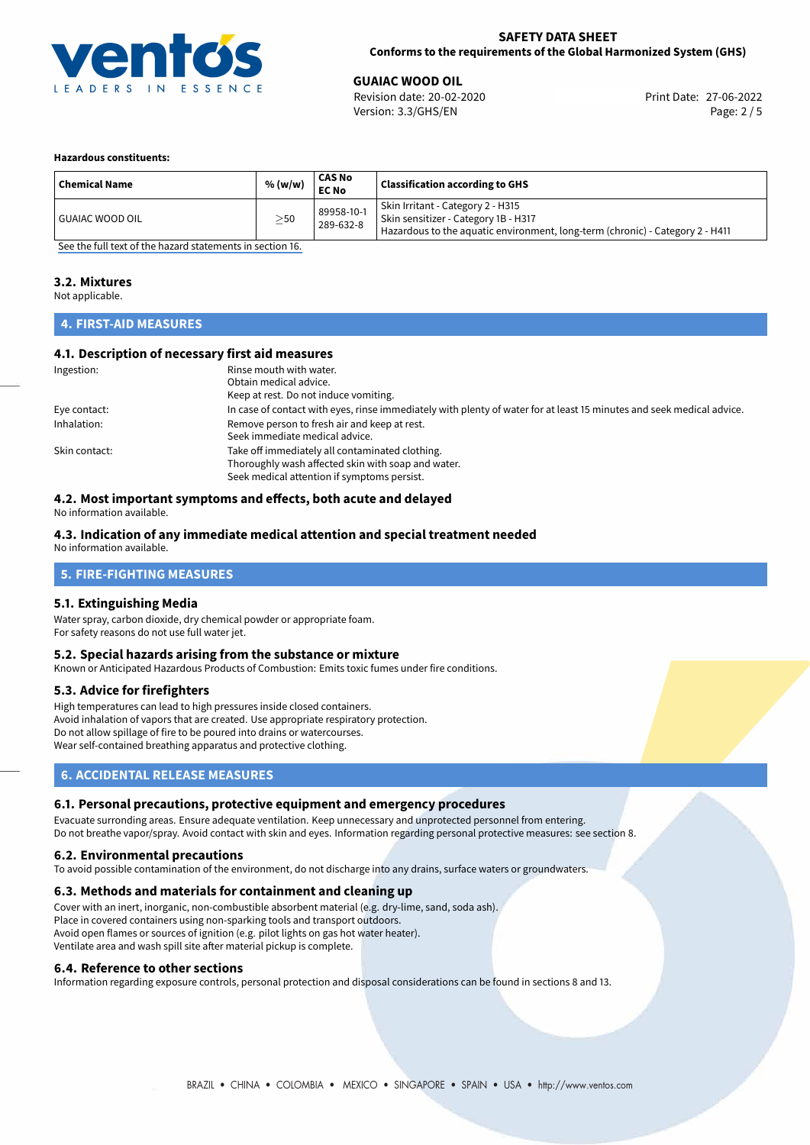

### **SAFETY DATA SHEET Conforms to the requirements of the Global Harmonized System (GHS)**

**GUAIAC WOOD OIL**<br>
Revision date: 20-02-2020 **Print Date: 27-06-2022** Version: 3.3/GHS/EN Page: 2 / 5

#### **Hazardous constituents:**

| <b>Chemical Name</b> | % (w/w)   | <b>CAS No</b><br><b>EC No</b> | <b>Classification according to GHS</b>                                                                                                                     |
|----------------------|-----------|-------------------------------|------------------------------------------------------------------------------------------------------------------------------------------------------------|
| GUAIAC WOOD OIL      | $\geq$ 50 | 89958-10-1<br>289-632-8       | Skin Irritant - Category 2 - H315<br>Skin sensitizer - Category 1B - H317<br>Hazardous to the aquatic environment, long-term (chronic) - Category 2 - H411 |

[See the full text of the hazard statements in section 16.](#page-4-0)

#### **3.2. Mixtures**

Not applicable.

# **4. FIRST-AID MEASURES**

### **4.1. Description of necessary first aid measures**

| Ingestion:    | Rinse mouth with water.                                                                                               |
|---------------|-----------------------------------------------------------------------------------------------------------------------|
|               | Obtain medical advice.                                                                                                |
|               | Keep at rest. Do not induce vomiting.                                                                                 |
| Eye contact:  | In case of contact with eyes, rinse immediately with plenty of water for at least 15 minutes and seek medical advice. |
| Inhalation:   | Remove person to fresh air and keep at rest.                                                                          |
|               | Seek immediate medical advice.                                                                                        |
| Skin contact: | Take off immediately all contaminated clothing.                                                                       |
|               | Thoroughly wash affected skin with soap and water.                                                                    |
|               | Seek medical attention if symptoms persist.                                                                           |

# **4.2. Most important symptoms and effects, both acute and delayed**

No information available.

### **4.3. Indication of any immediate medical attention and special treatment needed**

No information available.

# **5. FIRE-FIGHTING MEASURES**

#### **5.1. Extinguishing Media**

Water spray, carbon dioxide, dry chemical powder or appropriate foam. For safety reasons do not use full water jet.

#### **5.2. Special hazards arising from the substance or mixture**

Known or Anticipated Hazardous Products of Combustion: Emits toxic fumes under fire conditions.

#### **5.3. Advice for firefighters**

High temperatures can lead to high pressures inside closed containers. Avoid inhalation of vapors that are created. Use appropriate respiratory protection. Do not allow spillage of fire to be poured into drains or watercourses. Wear self-contained breathing apparatus and protective clothing.

# **6. ACCIDENTAL RELEASE MEASURES**

#### **6.1. Personal precautions, protective equipment and emergency procedures**

Evacuate surronding areas. Ensure adequate ventilation. Keep unnecessary and unprotected personnel from entering. Do not breathe vapor/spray. Avoid contact with skin and eyes. Information regarding personal protective measures: see section 8.

#### **6.2. Environmental precautions**

To avoid possible contamination of the environment, do not discharge into any drains, surface waters or groundwaters.

#### **6.3. Methods and materials for containment and cleaning up**

Cover with an inert, inorganic, non-combustible absorbent material (e.g. dry-lime, sand, soda ash). Place in covered containers using non-sparking tools and transport outdoors. Avoid open flames or sources of ignition (e.g. pilot lights on gas hot water heater). Ventilate area and wash spill site after material pickup is complete.

#### **6.4. Reference to other sections**

Information regarding exposure controls, personal protection and disposal considerations can be found in sections 8 and 13.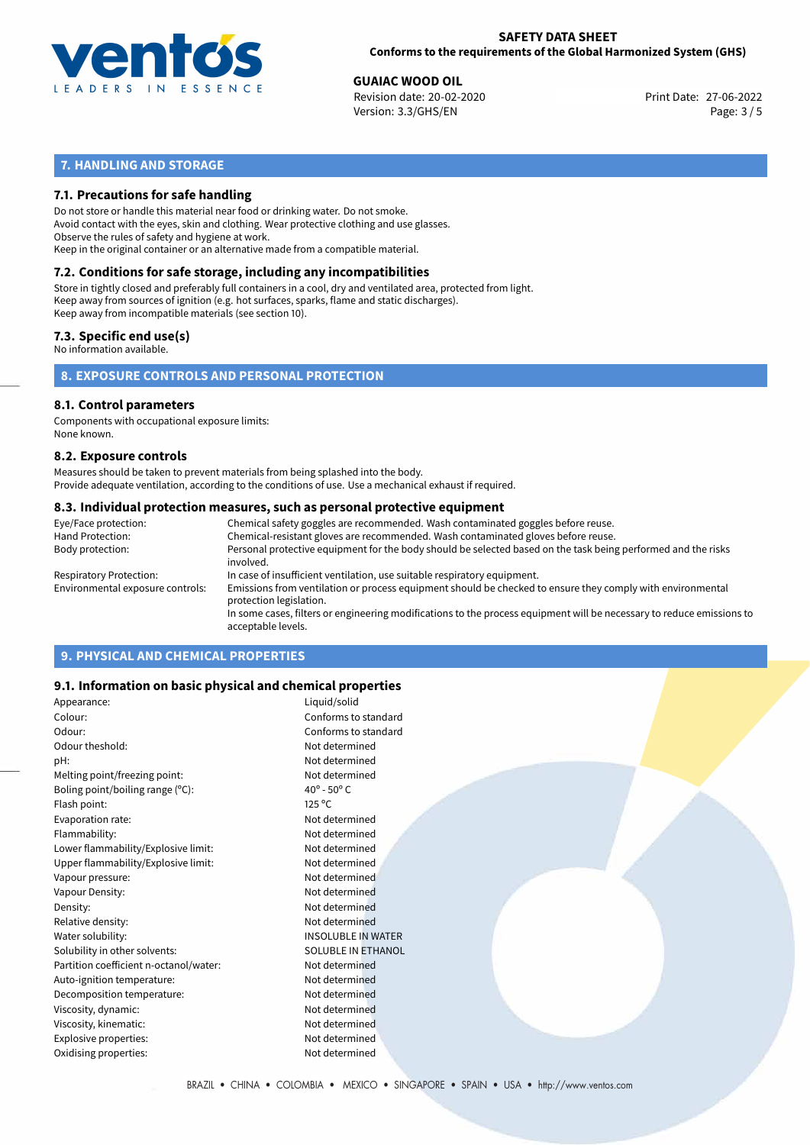

# **SAFETY DATA SHEET Conforms to the requirements of the Global Harmonized System (GHS)**

**GUAIAC WOOD OIL**<br>
Revision date: 20-02-2020 **Print Date: 27-06-2022** Version: 3.3/GHS/EN Page: 3 / 5

# **7. HANDLING AND STORAGE**

# **7.1. Precautions for safe handling**

Do not store or handle this material near food or drinking water. Do not smoke. Avoid contact with the eyes, skin and clothing. Wear protective clothing and use glasses. Observe the rules of safety and hygiene at work. Keep in the original container or an alternative made from a compatible material.

# **7.2. Conditions for safe storage, including any incompatibilities**

Store in tightly closed and preferably full containers in a cool, dry and ventilated area, protected from light. Keep away from sources of ignition (e.g. hot surfaces, sparks, flame and static discharges). Keep away from incompatible materials (see section 10).

### **7.3. Specific end use(s)**

No information available.

**8. EXPOSURE CONTROLS AND PERSONAL PROTECTION**

# **8.1. Control parameters**

Components with occupational exposure limits: None known.

#### **8.2. Exposure controls**

Measures should be taken to prevent materials from being splashed into the body. Provide adequate ventilation, according to the conditions of use. Use a mechanical exhaust if required.

#### **8.3. Individual protection measures, such as personal protective equipment**

| Eye/Face protection:             | Chemical safety goggles are recommended. Wash contaminated goggles before reuse.                                                            |
|----------------------------------|---------------------------------------------------------------------------------------------------------------------------------------------|
| Hand Protection:                 | Chemical-resistant gloves are recommended. Wash contaminated gloves before reuse.                                                           |
| Body protection:                 | Personal protective equipment for the body should be selected based on the task being performed and the risks<br>involved.                  |
| Respiratory Protection:          | In case of insufficient ventilation, use suitable respiratory equipment.                                                                    |
| Environmental exposure controls: | Emissions from ventilation or process equipment should be checked to ensure they comply with environmental<br>protection legislation.       |
|                                  | In some cases, filters or engineering modifications to the process equipment will be necessary to reduce emissions to<br>acceptable levels. |
|                                  |                                                                                                                                             |

# **9. PHYSICAL AND CHEMICAL PROPERTIES**

### **9.1. Information on basic physical and chemical properties**

| Appearance:                            | Liquid/solid                   |
|----------------------------------------|--------------------------------|
| Colour:                                | Conforms to standard           |
| Odour:                                 | Conforms to standard           |
| Odour theshold:                        | Not determined                 |
| pH:                                    | Not determined                 |
| Melting point/freezing point:          | Not determined                 |
| Boling point/boiling range (°C):       | $40^{\circ}$ - 50 $^{\circ}$ C |
| Flash point:                           | $125^{\circ}$ C                |
| Evaporation rate:                      | Not determined                 |
| Flammability:                          | Not determined                 |
| Lower flammability/Explosive limit:    | Not determined                 |
| Upper flammability/Explosive limit:    | Not determined                 |
| Vapour pressure:                       | Not determined                 |
| Vapour Density:                        | Not determined                 |
| Density:                               | Not determined                 |
| Relative density:                      | Not determined                 |
| Water solubility:                      | <b>INSOLUBLE IN WATER</b>      |
| Solubility in other solvents:          | SOLUBLE IN ETHANOL             |
| Partition coefficient n-octanol/water: | Not determined                 |
| Auto-ignition temperature:             | Not determined                 |
| Decomposition temperature:             | Not determined                 |
| Viscosity, dynamic:                    | Not determined                 |
| Viscosity, kinematic:                  | Not determined                 |
| Explosive properties:                  | Not determined                 |
| Oxidising properties:                  | Not determined                 |
|                                        |                                |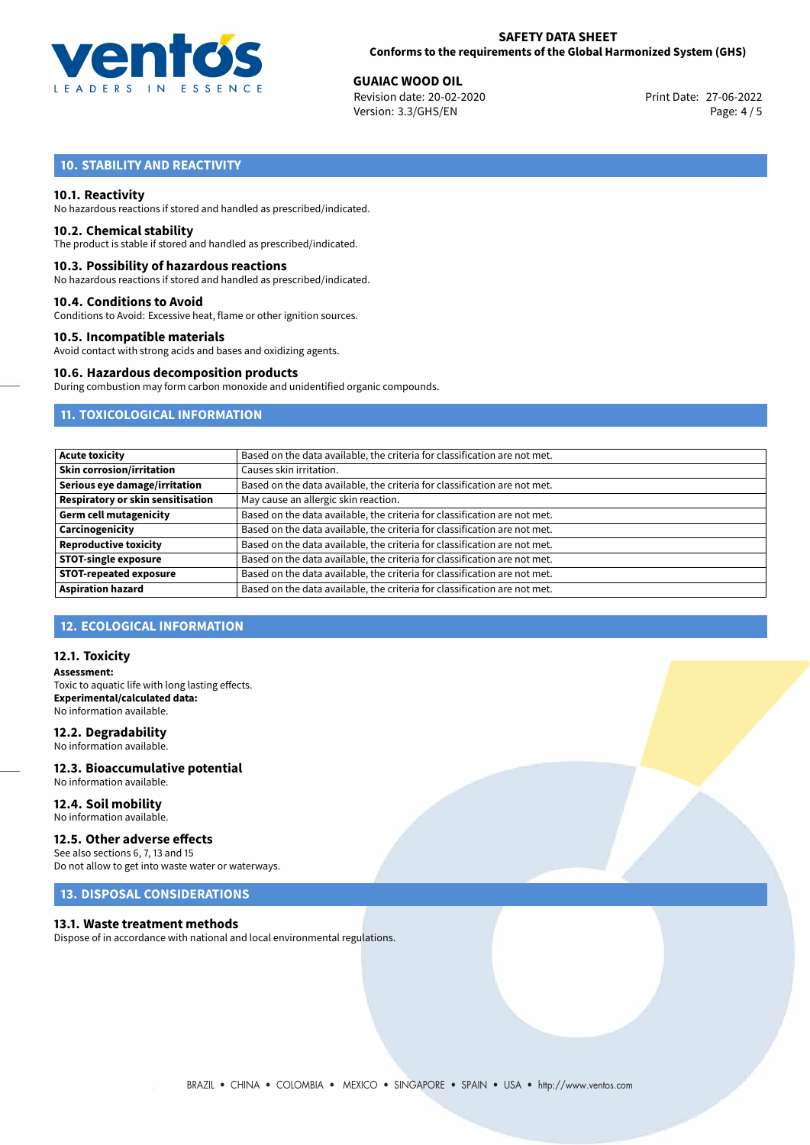

**GUAIAC WOOD OIL**<br>
Revision date: 20-02-2020 **Print Date: 27-06-2022** Version: 3.3/GHS/EN Page: 4 / 5

# **10. STABILITY AND REACTIVITY**

#### **10.1. Reactivity**

No hazardous reactions if stored and handled as prescribed/indicated.

#### **10.2. Chemical stability**

The product is stable if stored and handled as prescribed/indicated.

#### **10.3. Possibility of hazardous reactions**

No hazardous reactions if stored and handled as prescribed/indicated.

#### **10.4. Conditions to Avoid**

Conditions to Avoid: Excessive heat, flame or other ignition sources.

#### **10.5. Incompatible materials**

Avoid contact with strong acids and bases and oxidizing agents.

#### **10.6. Hazardous decomposition products**

During combustion may form carbon monoxide and unidentified organic compounds.

# **11. TOXICOLOGICAL INFORMATION**

| <b>Acute toxicity</b>                    | Based on the data available, the criteria for classification are not met. |
|------------------------------------------|---------------------------------------------------------------------------|
| <b>Skin corrosion/irritation</b>         | Causes skin irritation.                                                   |
| Serious eye damage/irritation            | Based on the data available, the criteria for classification are not met. |
| <b>Respiratory or skin sensitisation</b> | May cause an allergic skin reaction.                                      |
| <b>Germ cell mutagenicity</b>            | Based on the data available, the criteria for classification are not met. |
| Carcinogenicity                          | Based on the data available, the criteria for classification are not met. |
| <b>Reproductive toxicity</b>             | Based on the data available, the criteria for classification are not met. |
| <b>STOT-single exposure</b>              | Based on the data available, the criteria for classification are not met. |
| <b>STOT-repeated exposure</b>            | Based on the data available, the criteria for classification are not met. |
| <b>Aspiration hazard</b>                 | Based on the data available, the criteria for classification are not met. |

# **12. ECOLOGICAL INFORMATION**

#### **12.1. Toxicity**

**Assessment:** Toxic to aquatic life with long lasting effects. **Experimental/calculated data:** No information available.

#### **12.2. Degradability**

No information available.

#### **12.3. Bioaccumulative potential** No information available.

**12.4. Soil mobility** No information available.

### **12.5. Other adverse effects**

See also sections 6, 7, 13 and 15 Do not allow to get into waste water or waterways.

# **13. DISPOSAL CONSIDERATIONS**

#### **13.1. Waste treatment methods**

Dispose of in accordance with national and local environmental regulations.